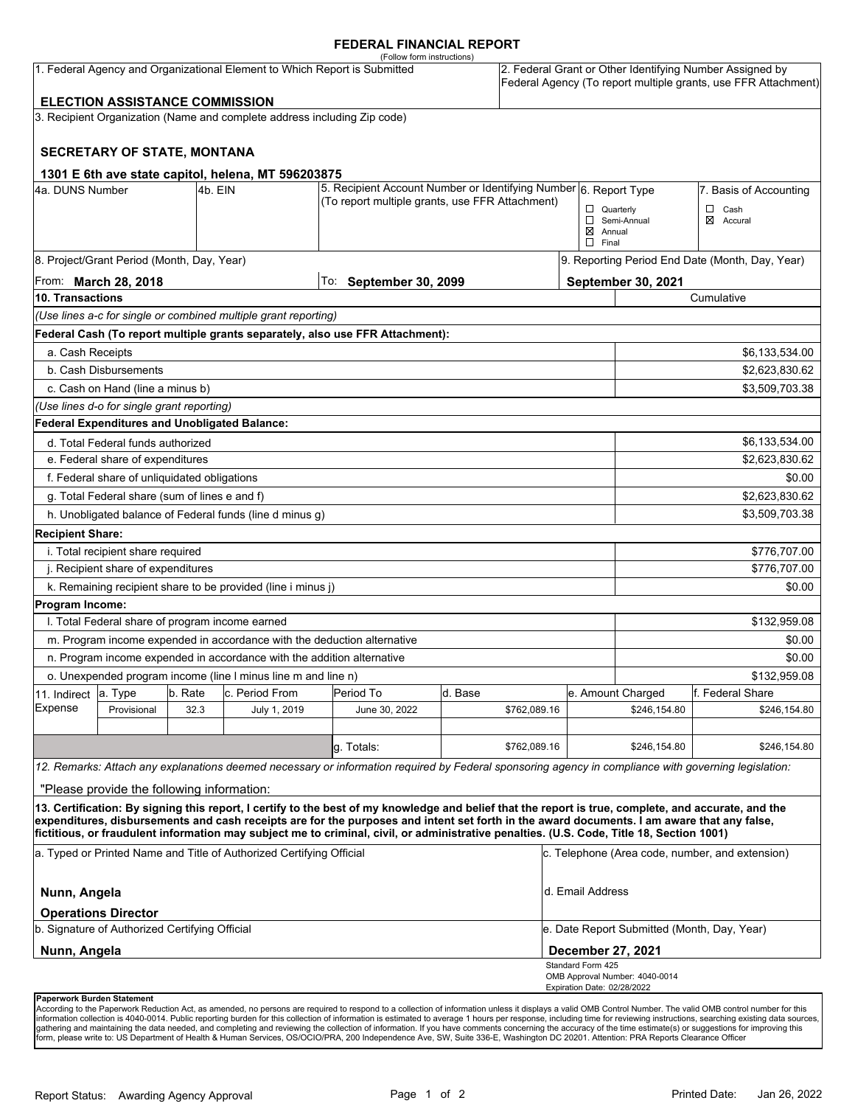### **FEDERAL FINANCIAL REPORT**

|                                    |                                                 |         | 1. Federal Agency and Organizational Element to Which Report is Submitted                                           | (Follow form instructions)                                                                                                                                                                                                                                                                                                                                                                                                                      |         |              |                                                  |                                             | 2. Federal Grant or Other Identifying Number Assigned by<br>Federal Agency (To report multiple grants, use FFR Attachment) |
|------------------------------------|-------------------------------------------------|---------|---------------------------------------------------------------------------------------------------------------------|-------------------------------------------------------------------------------------------------------------------------------------------------------------------------------------------------------------------------------------------------------------------------------------------------------------------------------------------------------------------------------------------------------------------------------------------------|---------|--------------|--------------------------------------------------|---------------------------------------------|----------------------------------------------------------------------------------------------------------------------------|
|                                    | <b>ELECTION ASSISTANCE COMMISSION</b>           |         | 3. Recipient Organization (Name and complete address including Zip code)                                            |                                                                                                                                                                                                                                                                                                                                                                                                                                                 |         |              |                                                  |                                             |                                                                                                                            |
|                                    |                                                 |         |                                                                                                                     |                                                                                                                                                                                                                                                                                                                                                                                                                                                 |         |              |                                                  |                                             |                                                                                                                            |
|                                    | <b>SECRETARY OF STATE, MONTANA</b>              |         |                                                                                                                     |                                                                                                                                                                                                                                                                                                                                                                                                                                                 |         |              |                                                  |                                             |                                                                                                                            |
|                                    |                                                 |         | 1301 E 6th ave state capitol, helena, MT 596203875                                                                  |                                                                                                                                                                                                                                                                                                                                                                                                                                                 |         |              |                                                  |                                             |                                                                                                                            |
| 4a. DUNS Number<br>4b. EIN         |                                                 |         | 5. Recipient Account Number or Identifying Number 6. Report Type<br>(To report multiple grants, use FFR Attachment) |                                                                                                                                                                                                                                                                                                                                                                                                                                                 |         |              |                                                  | 7. Basis of Accounting                      |                                                                                                                            |
|                                    |                                                 |         |                                                                                                                     |                                                                                                                                                                                                                                                                                                                                                                                                                                                 |         |              | $\boxtimes$ Annual<br>$\Box$ Final               | $\Box$ Quarterly<br>Semi-Annual             | $\Box$<br>Cash<br>⊠<br>Accural                                                                                             |
|                                    | 8. Project/Grant Period (Month, Day, Year)      |         |                                                                                                                     |                                                                                                                                                                                                                                                                                                                                                                                                                                                 |         |              |                                                  |                                             | 9. Reporting Period End Date (Month, Day, Year)                                                                            |
|                                    | From: <b>March 28, 2018</b>                     |         |                                                                                                                     | To: September 30, 2099                                                                                                                                                                                                                                                                                                                                                                                                                          |         |              |                                                  | September 30, 2021                          |                                                                                                                            |
| 10. Transactions                   |                                                 |         |                                                                                                                     |                                                                                                                                                                                                                                                                                                                                                                                                                                                 |         |              |                                                  |                                             | Cumulative                                                                                                                 |
|                                    |                                                 |         | (Use lines a-c for single or combined multiple grant reporting)                                                     |                                                                                                                                                                                                                                                                                                                                                                                                                                                 |         |              |                                                  |                                             |                                                                                                                            |
|                                    |                                                 |         |                                                                                                                     | Federal Cash (To report multiple grants separately, also use FFR Attachment):                                                                                                                                                                                                                                                                                                                                                                   |         |              |                                                  |                                             |                                                                                                                            |
| a. Cash Receipts                   |                                                 |         |                                                                                                                     |                                                                                                                                                                                                                                                                                                                                                                                                                                                 |         |              |                                                  |                                             | \$6,133,534.00                                                                                                             |
|                                    | b. Cash Disbursements                           |         |                                                                                                                     |                                                                                                                                                                                                                                                                                                                                                                                                                                                 |         |              |                                                  |                                             | \$2,623,830.62                                                                                                             |
|                                    | c. Cash on Hand (line a minus b)                |         |                                                                                                                     |                                                                                                                                                                                                                                                                                                                                                                                                                                                 |         |              |                                                  |                                             | \$3,509,703.38                                                                                                             |
|                                    | (Use lines d-o for single grant reporting)      |         |                                                                                                                     |                                                                                                                                                                                                                                                                                                                                                                                                                                                 |         |              |                                                  |                                             |                                                                                                                            |
|                                    | Federal Expenditures and Unobligated Balance:   |         |                                                                                                                     |                                                                                                                                                                                                                                                                                                                                                                                                                                                 |         |              |                                                  |                                             |                                                                                                                            |
|                                    | d. Total Federal funds authorized               |         |                                                                                                                     |                                                                                                                                                                                                                                                                                                                                                                                                                                                 |         |              |                                                  |                                             | \$6,133,534.00                                                                                                             |
|                                    | e. Federal share of expenditures                |         |                                                                                                                     |                                                                                                                                                                                                                                                                                                                                                                                                                                                 |         |              |                                                  |                                             | \$2,623,830.62                                                                                                             |
|                                    | f. Federal share of unliquidated obligations    |         |                                                                                                                     |                                                                                                                                                                                                                                                                                                                                                                                                                                                 |         |              |                                                  |                                             | \$0.00                                                                                                                     |
|                                    | g. Total Federal share (sum of lines e and f)   |         |                                                                                                                     |                                                                                                                                                                                                                                                                                                                                                                                                                                                 |         |              |                                                  |                                             | \$2,623,830.62                                                                                                             |
|                                    |                                                 |         | h. Unobligated balance of Federal funds (line d minus g)                                                            |                                                                                                                                                                                                                                                                                                                                                                                                                                                 |         |              |                                                  |                                             | \$3,509,703.38                                                                                                             |
| <b>Recipient Share:</b>            |                                                 |         |                                                                                                                     |                                                                                                                                                                                                                                                                                                                                                                                                                                                 |         |              |                                                  |                                             |                                                                                                                            |
|                                    | i. Total recipient share required               |         |                                                                                                                     |                                                                                                                                                                                                                                                                                                                                                                                                                                                 |         |              |                                                  |                                             | \$776,707.00                                                                                                               |
| j. Recipient share of expenditures |                                                 |         |                                                                                                                     |                                                                                                                                                                                                                                                                                                                                                                                                                                                 |         |              | \$776,707.00                                     |                                             |                                                                                                                            |
|                                    |                                                 |         | k. Remaining recipient share to be provided (line i minus j)                                                        |                                                                                                                                                                                                                                                                                                                                                                                                                                                 |         |              |                                                  |                                             | \$0.00                                                                                                                     |
| Program Income:                    |                                                 |         |                                                                                                                     |                                                                                                                                                                                                                                                                                                                                                                                                                                                 |         |              |                                                  |                                             |                                                                                                                            |
|                                    | I. Total Federal share of program income earned |         |                                                                                                                     |                                                                                                                                                                                                                                                                                                                                                                                                                                                 |         |              |                                                  |                                             | \$132,959.08                                                                                                               |
|                                    |                                                 |         | m. Program income expended in accordance with the deduction alternative                                             |                                                                                                                                                                                                                                                                                                                                                                                                                                                 |         |              |                                                  |                                             | \$0.00                                                                                                                     |
|                                    |                                                 |         | n. Program income expended in accordance with the addition alternative                                              |                                                                                                                                                                                                                                                                                                                                                                                                                                                 |         |              |                                                  |                                             | \$0.00                                                                                                                     |
|                                    |                                                 |         | o. Unexpended program income (line I minus line m and line n)                                                       |                                                                                                                                                                                                                                                                                                                                                                                                                                                 |         |              |                                                  |                                             | \$132,959.08                                                                                                               |
| 11. Indirect                       | a. Type                                         | b. Rate | c. Period From                                                                                                      | Period To                                                                                                                                                                                                                                                                                                                                                                                                                                       | d. Base |              |                                                  | e. Amount Charged                           | f. Federal Share                                                                                                           |
| Expense                            | Provisional                                     | 32.3    | July 1, 2019                                                                                                        | June 30, 2022                                                                                                                                                                                                                                                                                                                                                                                                                                   |         | \$762,089.16 |                                                  | \$246,154.80                                | \$246,154.80                                                                                                               |
|                                    |                                                 |         |                                                                                                                     |                                                                                                                                                                                                                                                                                                                                                                                                                                                 |         |              |                                                  |                                             |                                                                                                                            |
|                                    |                                                 |         |                                                                                                                     | g Totals:                                                                                                                                                                                                                                                                                                                                                                                                                                       |         | \$762,089.16 |                                                  | \$246,154.80                                | \$246,154.80                                                                                                               |
|                                    |                                                 |         |                                                                                                                     | 12. Remarks: Attach any explanations deemed necessary or information required by Federal sponsoring agency in compliance with governing legislation:                                                                                                                                                                                                                                                                                            |         |              |                                                  |                                             |                                                                                                                            |
|                                    | "Please provide the following information:      |         |                                                                                                                     |                                                                                                                                                                                                                                                                                                                                                                                                                                                 |         |              |                                                  |                                             |                                                                                                                            |
|                                    |                                                 |         |                                                                                                                     | 13. Certification: By signing this report, I certify to the best of my knowledge and belief that the report is true, complete, and accurate, and the<br>expenditures, disbursements and cash receipts are for the purposes and intent set forth in the award documents. I am aware that any false,<br>fictitious, or fraudulent information may subject me to criminal, civil, or administrative penalties. (U.S. Code, Title 18, Section 1001) |         |              |                                                  |                                             |                                                                                                                            |
|                                    |                                                 |         | a. Typed or Printed Name and Title of Authorized Certifying Official                                                |                                                                                                                                                                                                                                                                                                                                                                                                                                                 |         |              |                                                  |                                             | c. Telephone (Area code, number, and extension)                                                                            |
| Nunn, Angela                       |                                                 |         |                                                                                                                     |                                                                                                                                                                                                                                                                                                                                                                                                                                                 |         |              | d. Email Address                                 |                                             |                                                                                                                            |
|                                    | <b>Operations Director</b>                      |         |                                                                                                                     |                                                                                                                                                                                                                                                                                                                                                                                                                                                 |         |              |                                                  |                                             |                                                                                                                            |
|                                    | b. Signature of Authorized Certifying Official  |         |                                                                                                                     |                                                                                                                                                                                                                                                                                                                                                                                                                                                 |         |              |                                                  | e. Date Report Submitted (Month, Day, Year) |                                                                                                                            |
| Nunn, Angela                       |                                                 |         |                                                                                                                     |                                                                                                                                                                                                                                                                                                                                                                                                                                                 |         |              | December 27, 2021                                |                                             |                                                                                                                            |
|                                    |                                                 |         |                                                                                                                     |                                                                                                                                                                                                                                                                                                                                                                                                                                                 |         |              | Standard Form 425<br>Expiration Date: 02/28/2022 | OMB Approval Number: 4040-0014              |                                                                                                                            |
|                                    | Paperwork Burden Statement                      |         |                                                                                                                     |                                                                                                                                                                                                                                                                                                                                                                                                                                                 |         |              |                                                  |                                             |                                                                                                                            |

According to the Paperwork Reduction Act, as amended, no persons are required to respond to a collection of information unless it displays a valid OMB Control Number. The valid OMB control number for this<br>information colle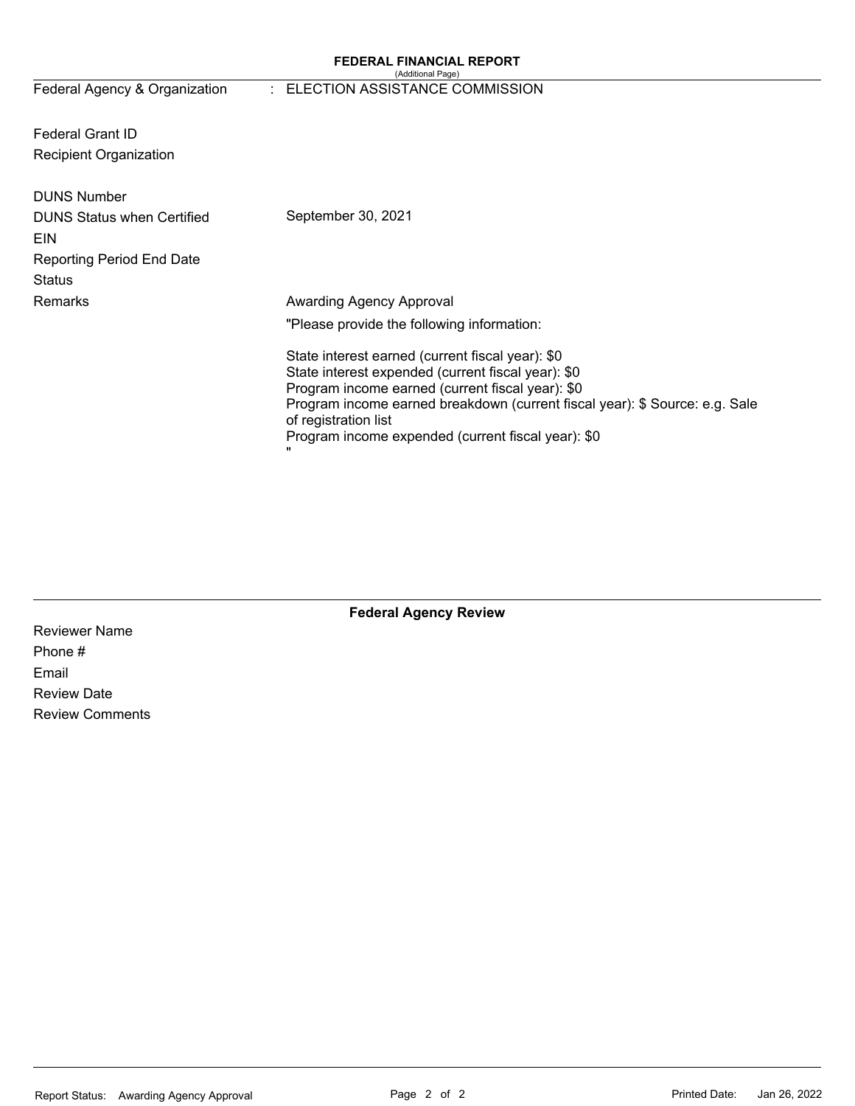#### **FEDERAL FINANCIAL REPORT**  (Additional Page)

# Federal Agency & Organization : ELECTION ASSISTANCE COMMISSION

Federal Grant ID Recipient Organization

| <b>DUNS Number</b><br><b>DUNS Status when Certified</b><br>EIN<br><b>Reporting Period End Date</b><br>Status | September 30, 2021                                                                                                                                                                                                                                                                                                                      |
|--------------------------------------------------------------------------------------------------------------|-----------------------------------------------------------------------------------------------------------------------------------------------------------------------------------------------------------------------------------------------------------------------------------------------------------------------------------------|
| Remarks                                                                                                      | Awarding Agency Approval<br>"Please provide the following information:                                                                                                                                                                                                                                                                  |
|                                                                                                              | State interest earned (current fiscal year): \$0<br>State interest expended (current fiscal year): \$0<br>Program income earned (current fiscal year): \$0<br>Program income earned breakdown (current fiscal year): \$ Source: e.g. Sale<br>of registration list<br>Program income expended (current fiscal year): \$0<br>$\mathbf{H}$ |

**Federal Agency Review** 

Reviewer Name Phone # Email Review Date Review Comments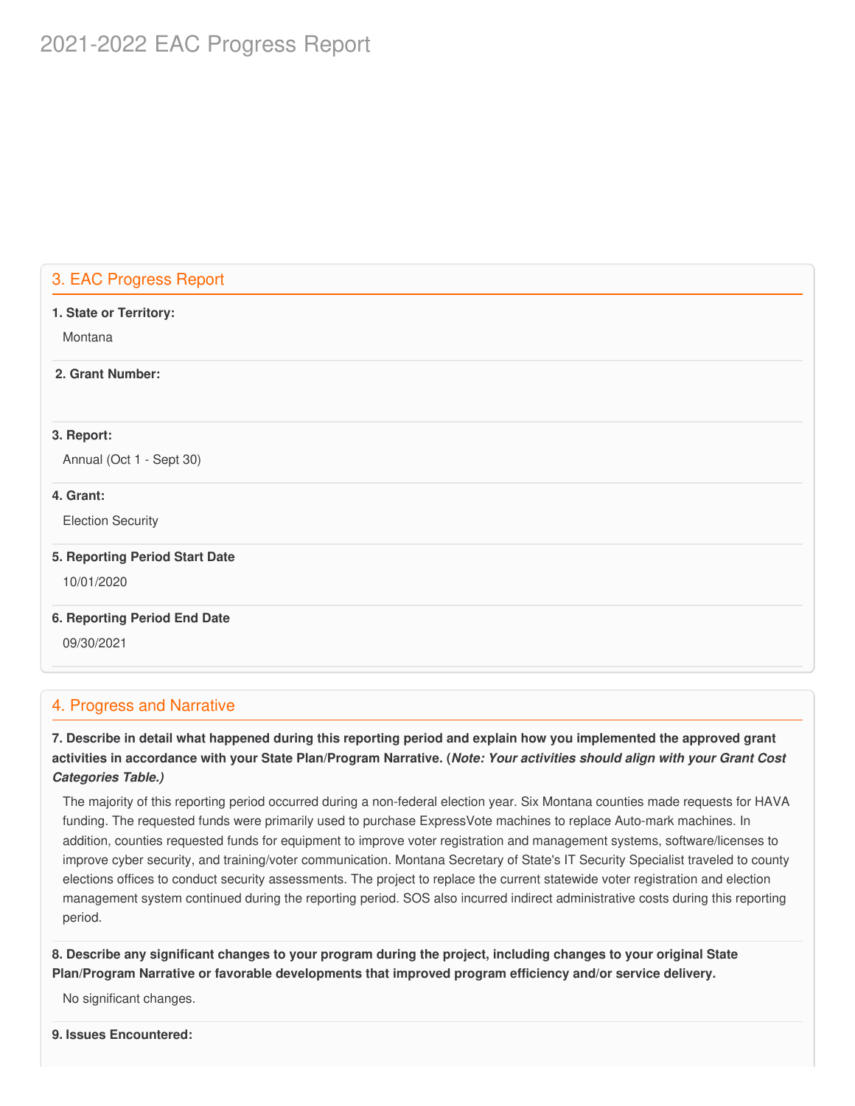# 2021-2022 EAC Progress Report

# 3. EAC Progress Report

| 1. State or Territory:         |  |
|--------------------------------|--|
| Montana                        |  |
| 2. Grant Number:               |  |
|                                |  |
| 3. Report:                     |  |
| Annual (Oct 1 - Sept 30)       |  |
| 4. Grant:                      |  |
| <b>Election Security</b>       |  |
| 5. Reporting Period Start Date |  |
| 10/01/2020                     |  |
| 6. Reporting Period End Date   |  |
| 09/30/2021                     |  |

# 4. Progress and Narrative

7. Describe in detail what happened during this reporting period and explain how you implemented the approved grant activities in accordance with your State Plan/Program Narrative. (*Note: Your activities should align with your Grant Cost Categories Table.)*

 The majority of this reporting period occurred during a non-federal election year. Six Montana counties made requests for HAVA funding. The requested funds were primarily used to purchase ExpressVote machines to replace Auto-mark machines. In addition, counties requested funds for equipment to improve voter registration and management systems, software/licenses to improve cyber security, and training/voter communication. Montana Secretary of State's IT Security Specialist traveled to county elections offices to conduct security assessments. The project to replace the current statewide voter registration and election management system continued during the reporting period. SOS also incurred indirect administrative costs during this reporting period.

8. Describe any significant changes to your program during the project, including changes to your original State  **Plan/Program Narrative or favorable developments that improved program efficiency and/or service delivery.**

No significant changes.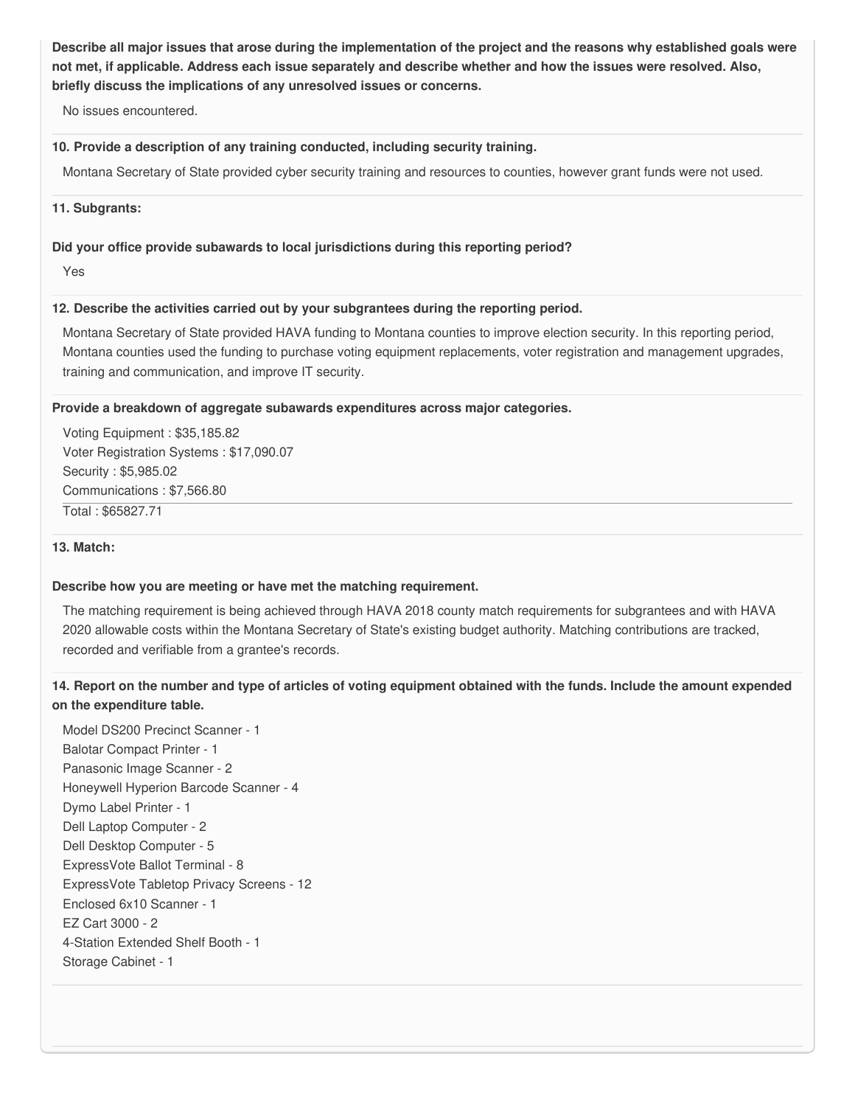Describe all major issues that arose during the implementation of the project and the reasons why established goals were not met, if applicable. Address each issue separately and describe whether and how the issues were resolved. Also,  **briefly discuss the implications of any unresolved issues or concerns.**

No issues encountered.

#### **10. Provide a description of any training conducted, including security training.**

Montana Secretary of State provided cyber security training and resources to counties, however grant funds were not used.

**11. Subgrants:**

#### **Did your office provide subawards to local jurisdictions during this reporting period?**

Yes

#### **12. Describe the activities carried out by your subgrantees during the reporting period.**

 Montana Secretary of State provided HAVA funding to Montana counties to improve election security. In this reporting period, Montana counties used the funding to purchase voting equipment replacements, voter registration and management upgrades, training and communication, and improve IT security.

#### **Provide a breakdown of aggregate subawards expenditures across major categories.**

 Voting Equipment : [\\$35,185.82](https://35,185.82) Voter Registration Systems : [\\$17,090.07](https://17,090.07) Security : \$[5,985.02](https://5,985.02) Communications : [\\$7,566.80](https://7,566.80) Total : [\\$65827.71](https://65827.71)

#### **13. Match:**

#### **Describe how you are meeting or have met the matching requirement.**

 The matching requirement is being achieved through HAVA 2018 county match requirements for subgrantees and with HAVA 2020 allowable costs within the Montana Secretary of State's existing budget authority. Matching contributions are tracked, recorded and verifiable from a grantee's records.

## 14. Report on the number and type of articles of voting equipment obtained with the funds. Include the amount expended  **on the expenditure table.**

 Model DS200 Precinct Scanner - 1 Balotar Compact Printer - 1 Panasonic Image Scanner - 2 Honeywell Hyperion Barcode Scanner - 4 Dymo Label Printer - 1 Dell Laptop Computer - 2 Dell Desktop Computer - 5 ExpressVote Ballot Terminal - 8 ExpressVote Tabletop Privacy Screens - 12 Enclosed 6x10 Scanner - 1 EZ Cart 3000 - 2 4-Station Extended Shelf Booth - 1 Storage Cabinet - 1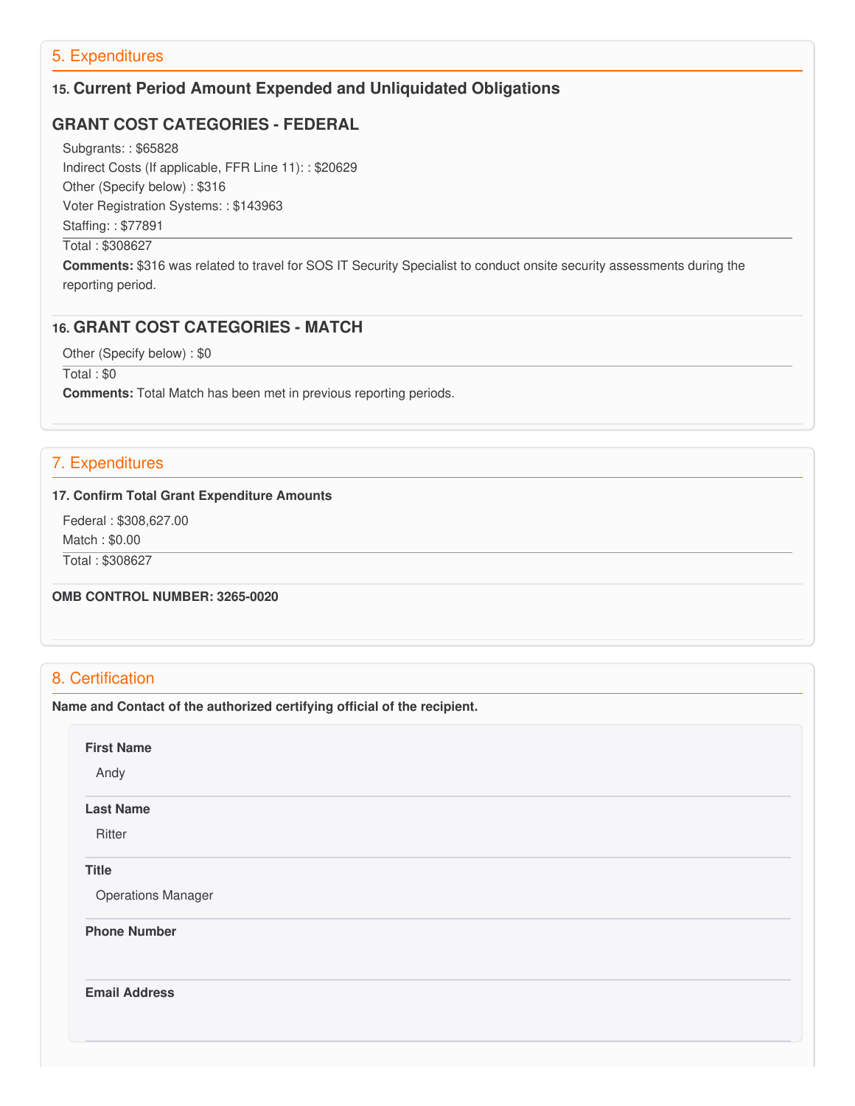# 5. Expenditures

# **15. Current Period Amount Expended and Unliquidated Obligations**

# **GRANT COST CATEGORIES - FEDERAL**

 Subgrants: : \$65828 Indirect Costs (If applicable, FFR Line 11): : \$20629 Other (Specify below) : \$316 Voter Registration Systems: : \$143963

Staffing: : \$77891

#### Total : \$308627

 **Comments:** \$316 was related to travel for SOS IT Security Specialist to conduct onsite security assessments during the reporting period.

### **16. GRANT COST CATEGORIES - MATCH**

Other (Specify below) : \$0

Total : \$0

**Comments:** Total Match has been met in previous reporting periods.

# 7. Expenditures

#### **17. Confirm Total Grant Expenditure Amounts**

Federal : \$[308,627.00](https://308,627.00)

Match : \$0.00

Total : \$308627

### **OMB CONTROL NUMBER: 3265-0020**

# 8. Certification

 **Name and Contact of the authorized certifying official of the recipient.**

**First Name**

Andy

#### **Last Name**

**Ritter** 

### **Title**

Operations Manager

**Phone Number** 

**Email Address**